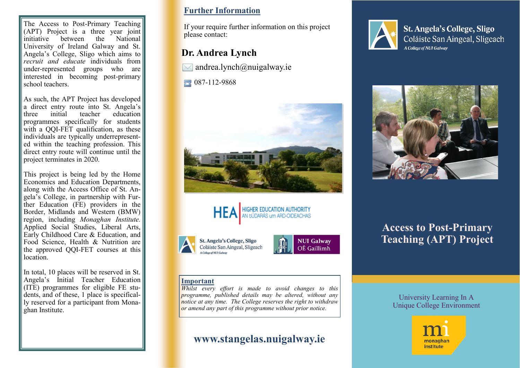The Access to Post-Primary Teaching  $(APT)$  Project is a three year joint initiative between the National University of Ireland Galway and St. Angela's College, Sligo which aims to *recruit and educate* individuals from under-represented groups who are interested in becoming post-primary school teachers.

As such, the APT Project has developed a direct entry route into St. Angela's<br>three initial teacher education three initial teacher education programmes specifically for students with a QQI-FET qualification, as these individuals are typically underrepresented within the teaching profession. This direct entry route will continue until the project terminates in 2020.

This project is being led by the Home Economics and Education Departments, along with the Access Office of St. Angela's College, in partnership with Fur- $\overrightarrow{h}$  ther Education (FE) providers in the Border, Midlands and Western (BMW) region, including *Monaghan Institute.*  Applied Social Studies, Liberal Arts,  $\vert$  Early Childhood Care & Education, and Food Science, Health & Nutrition are the approved QQI-FET courses at this location.

In total, 10 places will be reserved in St. Angela's Initial Teacher Education (ITE) programmes for eligible FE students, and of these, 1 place is specifically reserved for a participant from Monaghan Institute.

### **Further Information**

If your require further information on this project please contact:

## **Dr. Andrea Lynch**

 $\bowtie$  andrea.lynch $\omega$ nuigalway.ie

087-112-9868







**NUI Galway** OÉ Gaillimh

### **Important**

*Whilst every effort is made to avoid changes to this programme, published details may be altered, without any notice at any time. The College reserves the right to withdraw or amend any part of this programme without prior notice.*

# **www.stangelas.nuigalway.ie**



**St. Angela's College, Sligo** Coláiste San Aingeal, Sligeach A College of NUI Galway



# **Access to Post-Primary Teaching (APT) Project**

### University Learning In A Unique College Environment